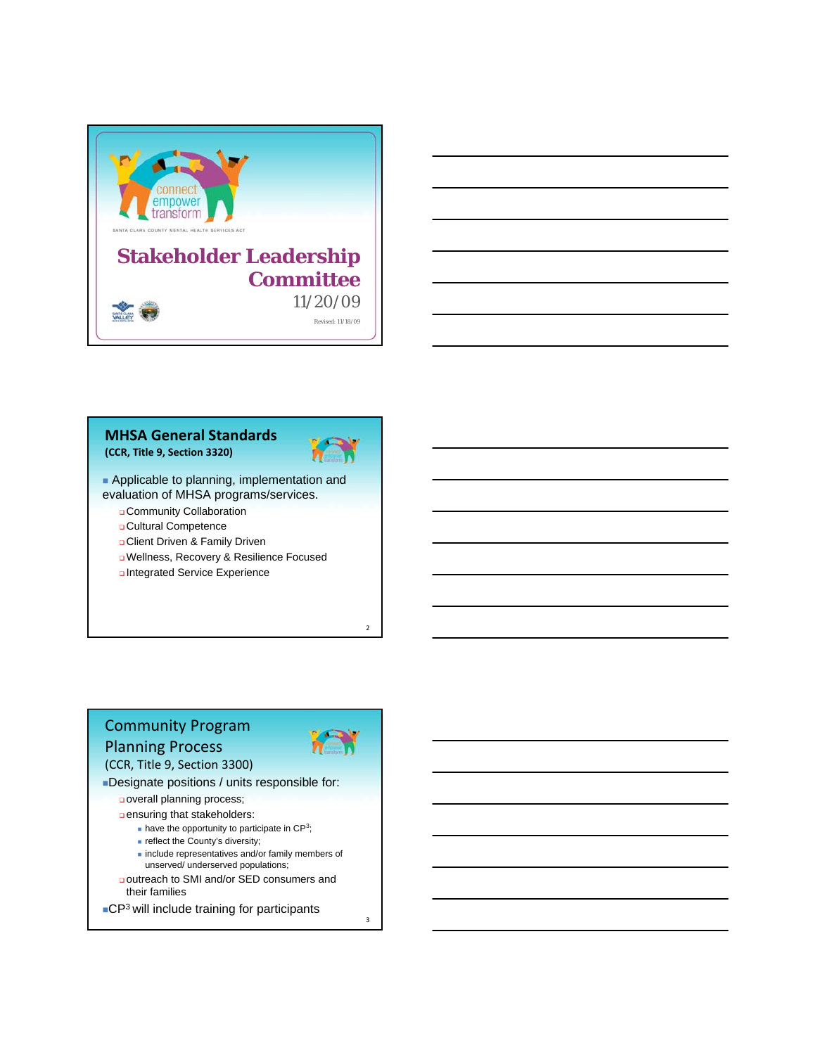

| <b>MHSA General Standards</b> |  |
|-------------------------------|--|
| (CCR, Title 9, Section 3320)  |  |



**Applicable to planning, implementation and** evaluation of MHSA programs/services.

Community Collaboration

Cultural Competence

Client Driven & Family Driven

Wellness, Recovery & Resilience Focused

Integrated Service Experience

# Community Program Planning Process

(CCR, Title 9, Section 3300)



 $\overline{2}$ 

3

Designate positions / units responsible for:

overall planning process;

ensuring that stakeholders:

 $\blacksquare$  have the opportunity to participate in CP3;

- **reflect the County's diversity;**
- $\blacksquare$  include representatives and/or family members of unserved/ underserved populations;
- outreach to SMI and/or SED consumers and their families
- ■CP<sup>3</sup> will include training for participants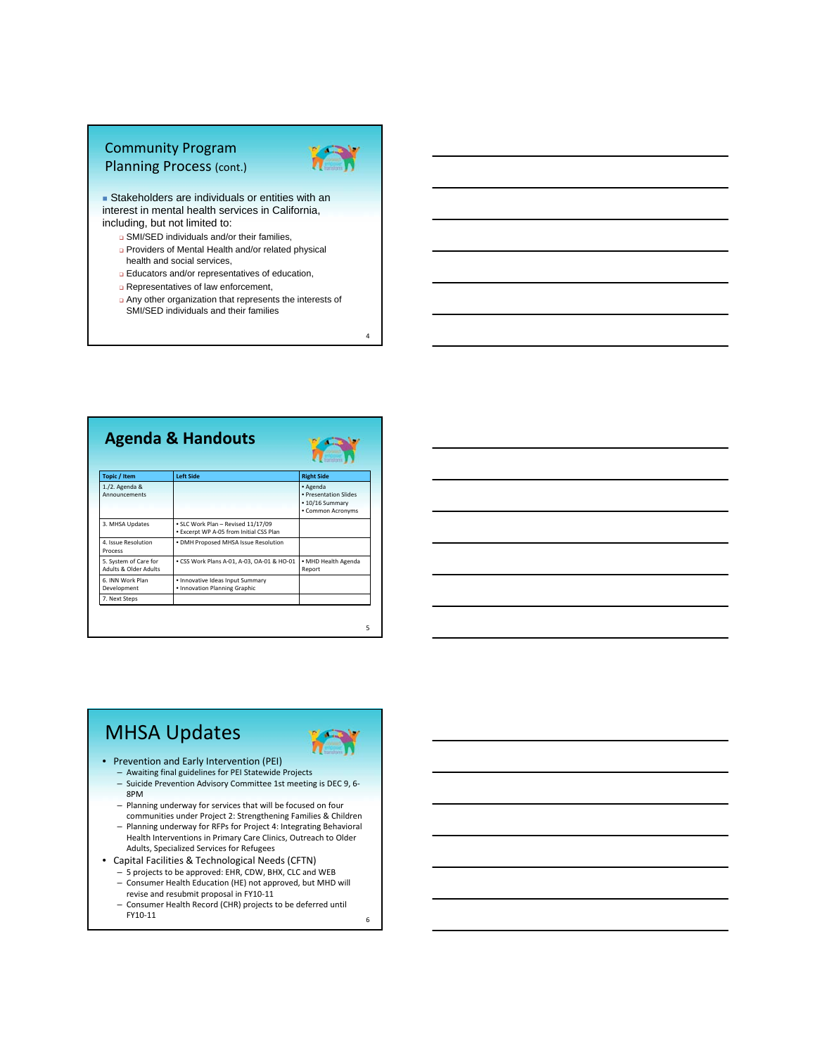### Community Program Planning Process (cont.)



**Stakeholders are individuals or entities with an** interest in mental health services in California, including, but not limited to:

- **B** SMI/SED individuals and/or their families,
- Providers of Mental Health and/or related physical health and social services,
- **Educators and/or representatives of education,**
- Representatives of law enforcement,
- Any other organization that represents the interests of SMI/SED individuals and their families





4

| Topic / Item                                              | <b>Left Side</b>                                                              | <b>Right Side</b>                                                         |
|-----------------------------------------------------------|-------------------------------------------------------------------------------|---------------------------------------------------------------------------|
| $1./2.$ Agenda &<br>Announcements                         |                                                                               | • Agenda<br>· Presentation Slides<br>• 10/16 Summary<br>• Common Acronyms |
| 3. MHSA Updates                                           | • SLC Work Plan - Revised 11/17/09<br>. Excerpt WP A-05 from Initial CSS Plan |                                                                           |
| 4. Issue Resolution<br>Process                            | . DMH Proposed MHSA Issue Resolution                                          |                                                                           |
| 5. System of Care for<br><b>Adults &amp; Older Adults</b> | • CSS Work Plans A-01, A-03, OA-01 & HO-01                                    | · MHD Health Agenda<br>Report                                             |
| 6. INN Work Plan<br>Development                           | · Innovative Ideas Input Summary<br>• Innovation Planning Graphic             |                                                                           |
| 7. Next Steps                                             |                                                                               |                                                                           |

# MHSA Updates

FY10‐11



- Prevention and Early Intervention (PEI)
	- Awaiting final guidelines for PEI Statewide Projects
	- Suicide Prevention Advisory Committee 1st meeting is DEC 9, 6‐ 8PM
	- Planning underway for services that will be focused on four
	- communities under Project 2: Strengthening Families & Children – Planning underway for RFPs for Project 4: Integrating Behavioral Health Interventions in Primary Care Clinics, Outreach to Older Adults, Specialized Services for Refugees
- Capital Facilities & Technological Needs (CFTN)
	- 5 projects to be approved: EHR, CDW, BHX, CLC and WEB – Consumer Health Education (HE) not approved, but MHD will
	- revise and resubmit proposal in FY10‐11 – Consumer Health Record (CHR) projects to be deferred until
		-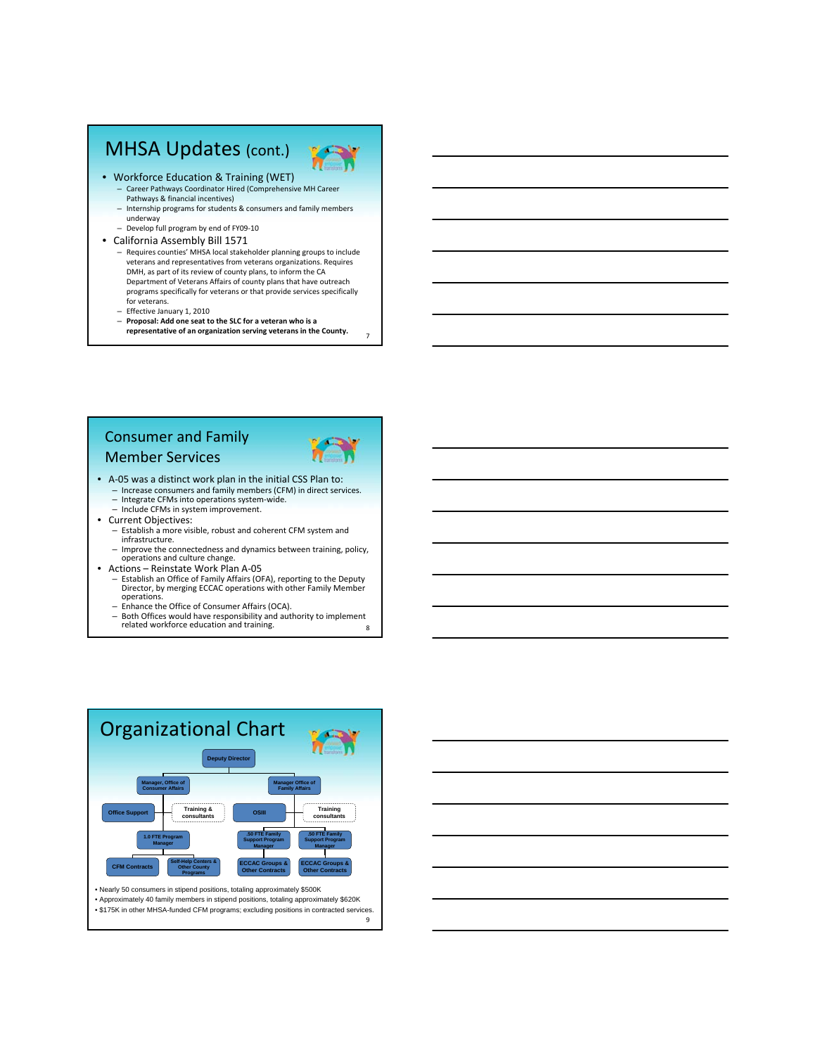# MHSA Updates (cont.)



- Workforce Education & Training (WET)
	- Career Pathways Coordinator Hired (Comprehensive MH Career Pathways & financial incentives)
	- Internship programs for students & consumers and family members underway – Develop full program by end of FY09‐10
- California Assembly Bill 1571
	- Requires counties' MHSA local stakeholder planning groups to include veterans and representatives from veterans organizations. Requires DMH, as part of its review of county plans, to inform the CA Department of Veterans Affairs of county plans that have outreach programs specifically for veterans or that provide services specifically for veterans.
	- Effective January 1, 2010
	- **Proposal: Add one seat to the SLC for a veteran who is a representative of an organization serving veterans in the County.**

#### Consumer and Family Member Services



- A‐05 was a distinct work plan in the initial CSS Plan to: – Increase consumers and family members (CFM) in direct services. – Integrate CFMs into operations system‐wide.
	- Include CFMs in system improvement.
- Current Objectives:
	- Establish a more visible, robust and coherent CFM system and infrastructure.
	- Improve the connectedness and dynamics between training, policy, operations and culture change.
- Actions Reinstate Work Plan A-05
	- Establish an Office of Family Affairs (OFA), reporting to the Deputy Director, by merging ECCAC operations with other Family Member operations.
	- Enhance the Office of Consumer Affairs (OCA).
	- 8 – Both Offices would have responsibility and authority to implement related workforce education and training.



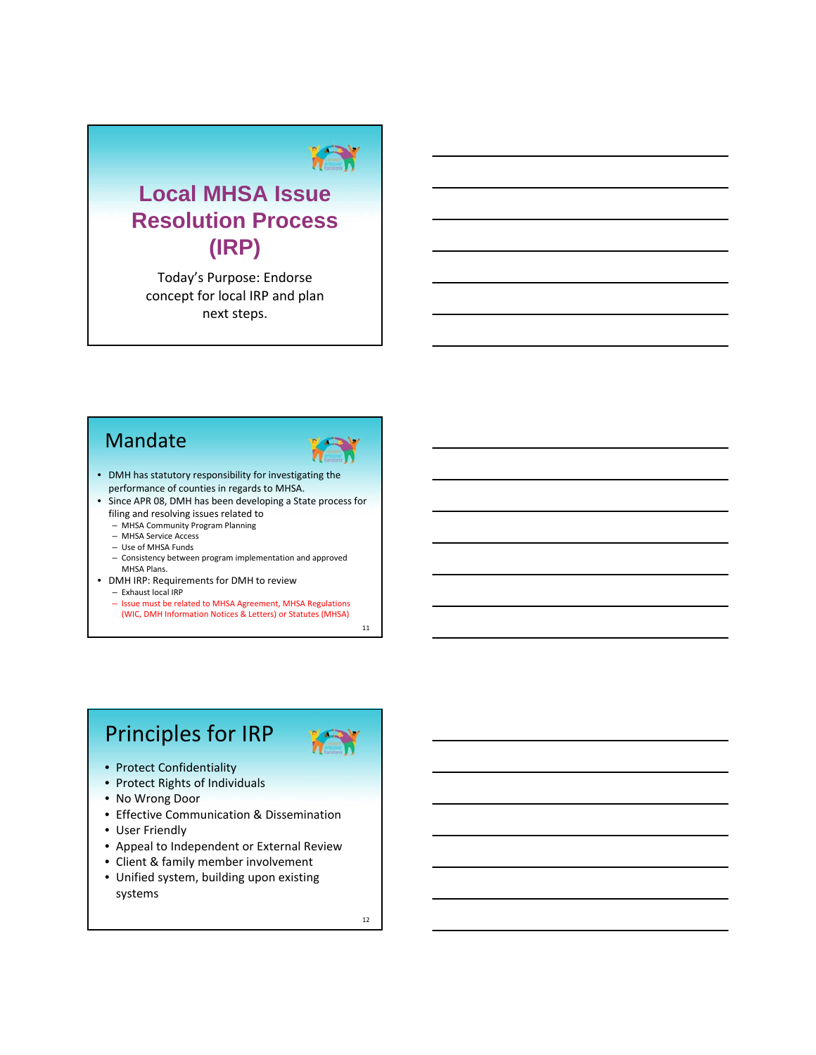# **Local MHSA Issue Resolution Process (IRP)**

Today's Purpose: Endorse concept for local IRP and plan next steps.

# Mandate



- DMH has statutory responsibility for investigating the performance of counties in regards to MHSA.
- Since APR 08, DMH has been developing a State process for filing and resolving issues related to
	- MHSA Community Program Planning
	- MHSA Service Access
	- Use of MHSA Funds
	- Consistency between program implementation and approved MHSA Plans.
- DMH IRP: Requirements for DMH to review – Exhaust local IRP
	- Issue must be related to MHSA Agreement, MHSA Regulations (WIC, DMH Information Notices & Letters) or Statutes (MHSA)

11

# Principles for IRP



- Protect Confidentiality
- Protect Rights of Individuals
- No Wrong Door
- Effective Communication & Dissemination
- User Friendly
- Appeal to Independent or External Review
- Client & family member involvement
- Unified system, building upon existing systems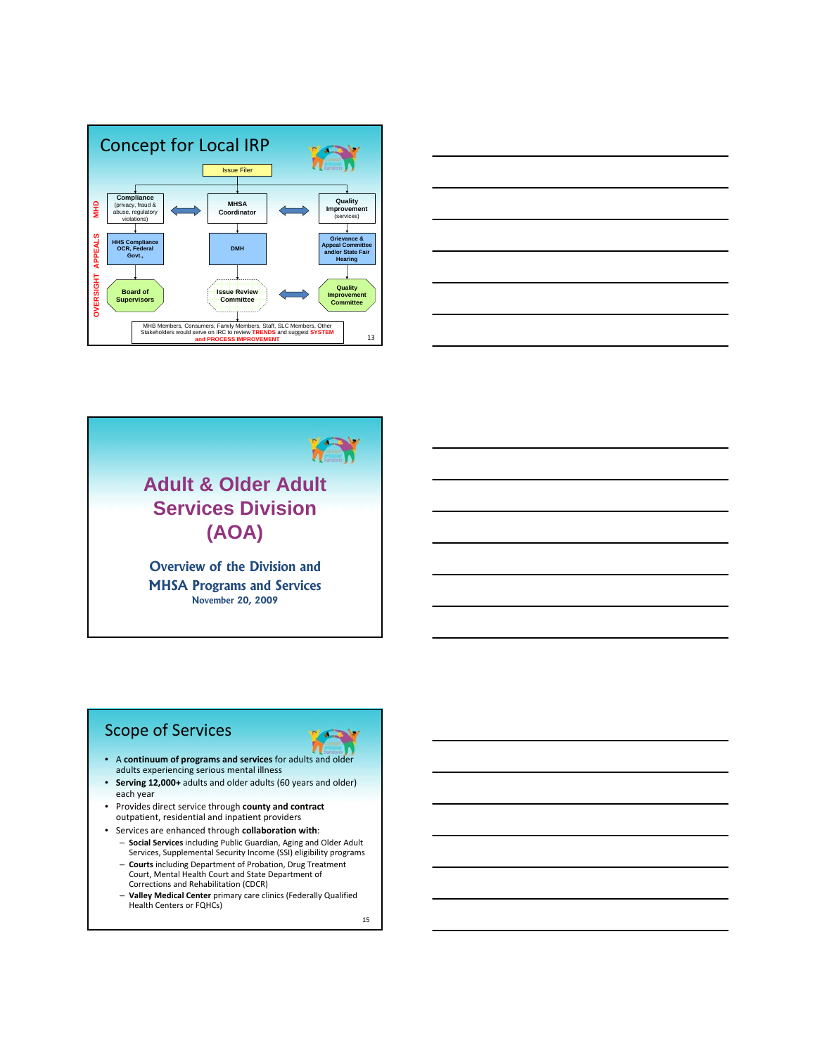





### Scope of Services

- π • A **continuum of programs and services** for adults and older adults experiencing serious mental illness
- **Serving 12,000+** adults and older adults (60 years and older) each year
- Provides direct service through **county and contract** outpatient, residential and inpatient providers
- Services are enhanced through **collaboration with**:
	- **Social Services** including Public Guardian, Aging and Older Adult Services, Supplemental Security Income (SSI) eligibility programs
	- **Courts** including Department of Probation, Drug Treatment Court, Mental Health Court and State Department of Corrections and Rehabilitation (CDCR)
	- **Valley Medical Center** primary care clinics (Federally Qualified Health Centers or FQHCs)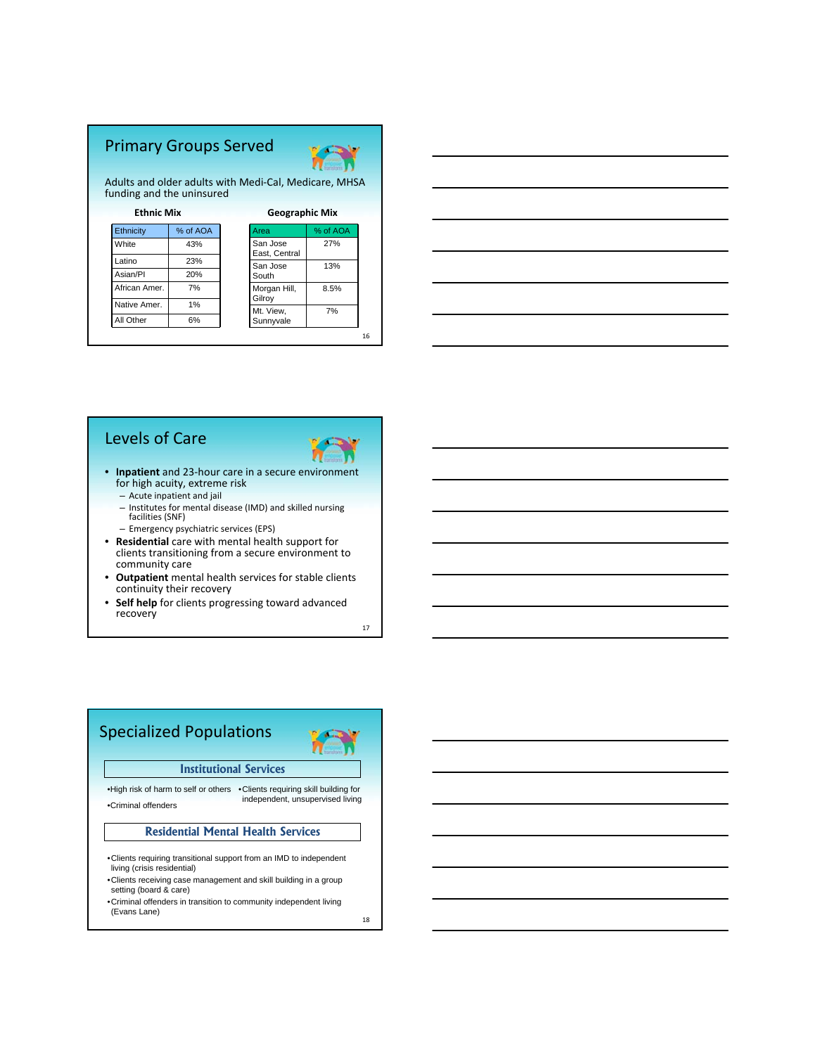# Primary Groups Served



Adults and older adults with Medi‐Cal, Medicare, MHSA funding and the uninsured

| <b>Ethnic Mix</b> |          | <b>Geographic Mix</b>     |          |
|-------------------|----------|---------------------------|----------|
| <b>Ethnicity</b>  | % of AOA | Area                      | % of AOA |
| White             | 43%      | San Jose<br>East, Central | 27%      |
| Latino            | 23%      | San Jose                  | 13%      |
| Asian/PI          | 20%      | South                     |          |
| African Amer.     | 7%       | Morgan Hill,<br>Gilroy    | 8.5%     |
| Native Amer.      | 1%       | Mt. View,                 | 7%       |
| All Other         | 6%       | Sunnyvale                 |          |
|                   |          |                           |          |



### Levels of Care



16

- **Inpatient** and 23‐hour care in a secure environment for high acuity, extreme risk
	- Acute inpatient and jail
	- Institutes for mental disease (IMD) and skilled nursing facilities (SNF)

– Emergency psychiatric services (EPS)

- **Residential** care with mental health support for clients transitioning from a secure environment to community care
- **Outpatient** mental health services for stable clients continuity their recovery
- **Self help** for clients progressing toward advanced recovery

17

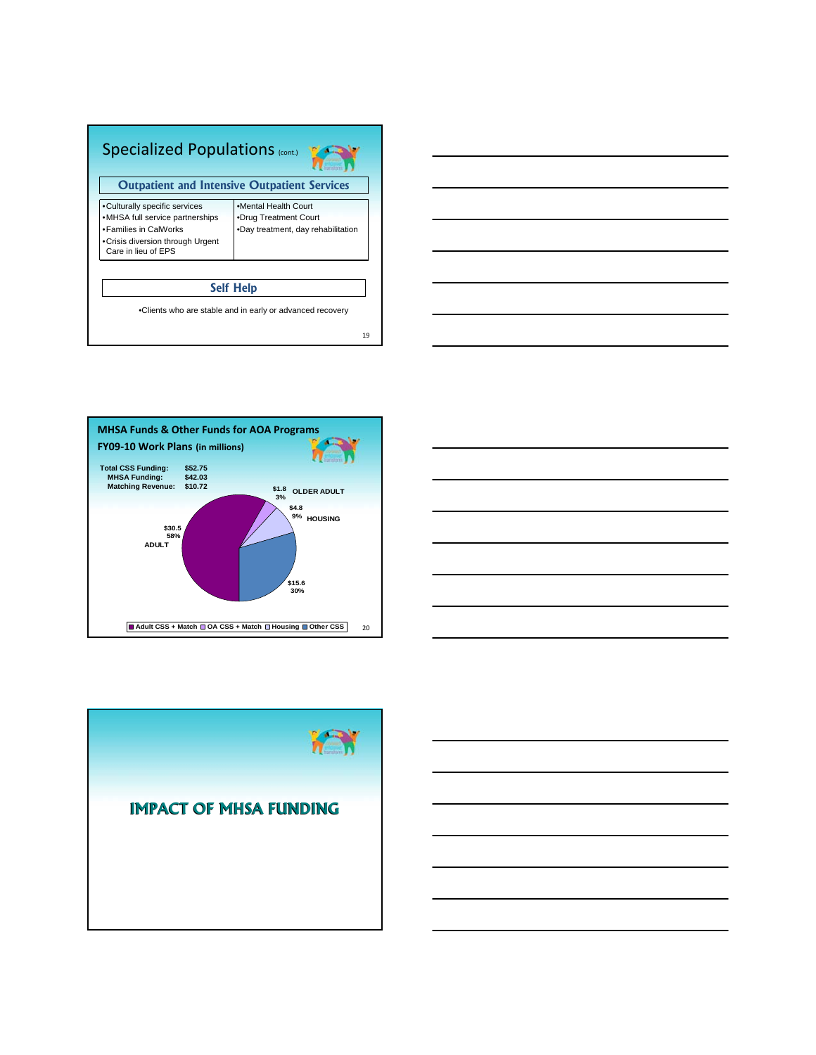| <b>Specialized Populations (cont.)</b>                                                                                                                 |                                                                                     |  |
|--------------------------------------------------------------------------------------------------------------------------------------------------------|-------------------------------------------------------------------------------------|--|
| <b>Outpatient and Intensive Outpatient Services</b>                                                                                                    |                                                                                     |  |
| •Culturally specific services<br>•MHSA full service partnerships<br>• Families in CalWorks<br>• Crisis diversion through Urgent<br>Care in lieu of EPS | •Mental Health Court<br>•Drug Treatment Court<br>.Day treatment, day rehabilitation |  |
| <b>Self Help</b>                                                                                                                                       |                                                                                     |  |
|                                                                                                                                                        | •Clients who are stable and in early or advanced recovery<br>19                     |  |







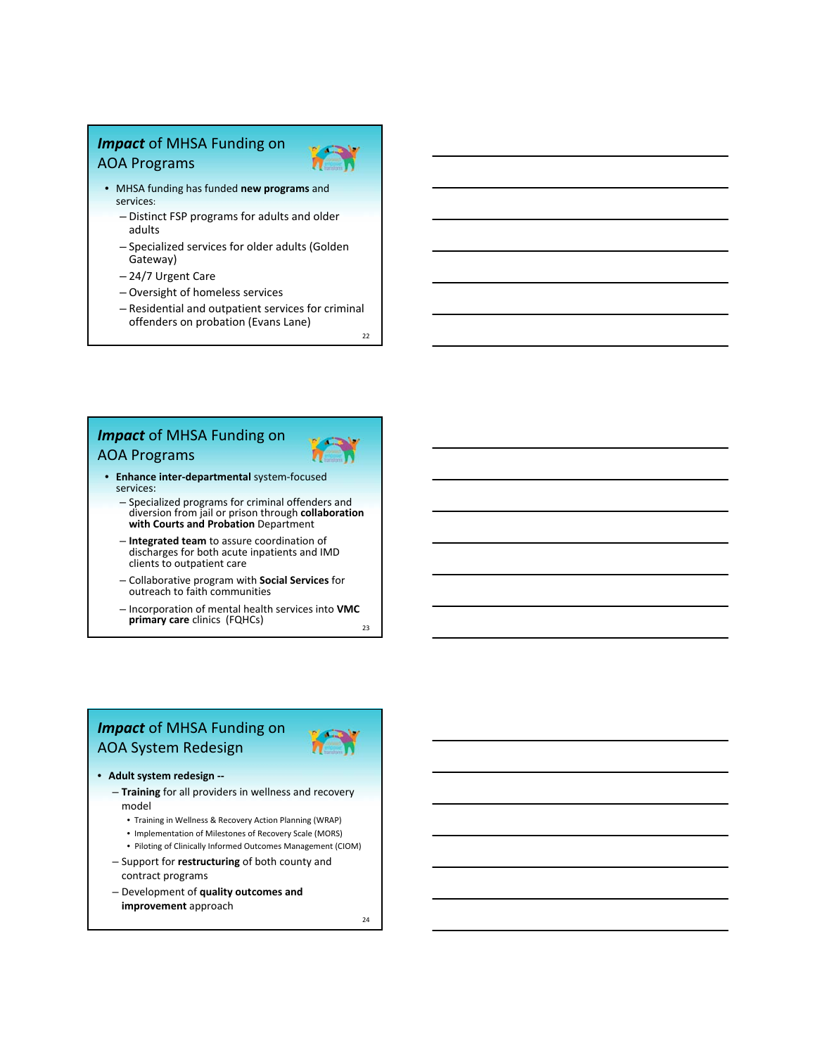## *Impact* of MHSA Funding on AOA Programs



- MHSA funding has funded **new programs** and services:
	- Distinct FSP programs for adults and older adults
	- Specialized services for older adults (Golden Gateway)
	- 24/7 Urgent Care
	- Oversight of homeless services
	- Residential and outpatient services for criminal offenders on probation (Evans Lane)

22

# *Impact* of MHSA Funding on

# AOA Programs

services:

- **Enhance inter‐departmental** system‐focused
	- Specialized programs for criminal offenders and diversion from jail or prison through **collaboration with Courts and Probation** Department
	- **Integrated team** to assure coordination of discharges for both acute inpatients and IMD clients to outpatient care
	- Collaborative program with **Social Services** for outreach to faith communities
	- $23$ – Incorporation of mental health services into **VMC primary care** clinics (FQHCs)

### *Impact* of MHSA Funding on AOA System Redesign



- **Training** for all providers in wellness and recovery model
	- Training in Wellness & Recovery Action Planning (WRAP)
	- Implementation of Milestones of Recovery Scale (MORS)
- Piloting of Clinically Informed Outcomes Management (CIOM) – Support for **restructuring** of both county and
- contract programs
- Development of **quality outcomes and improvement** approach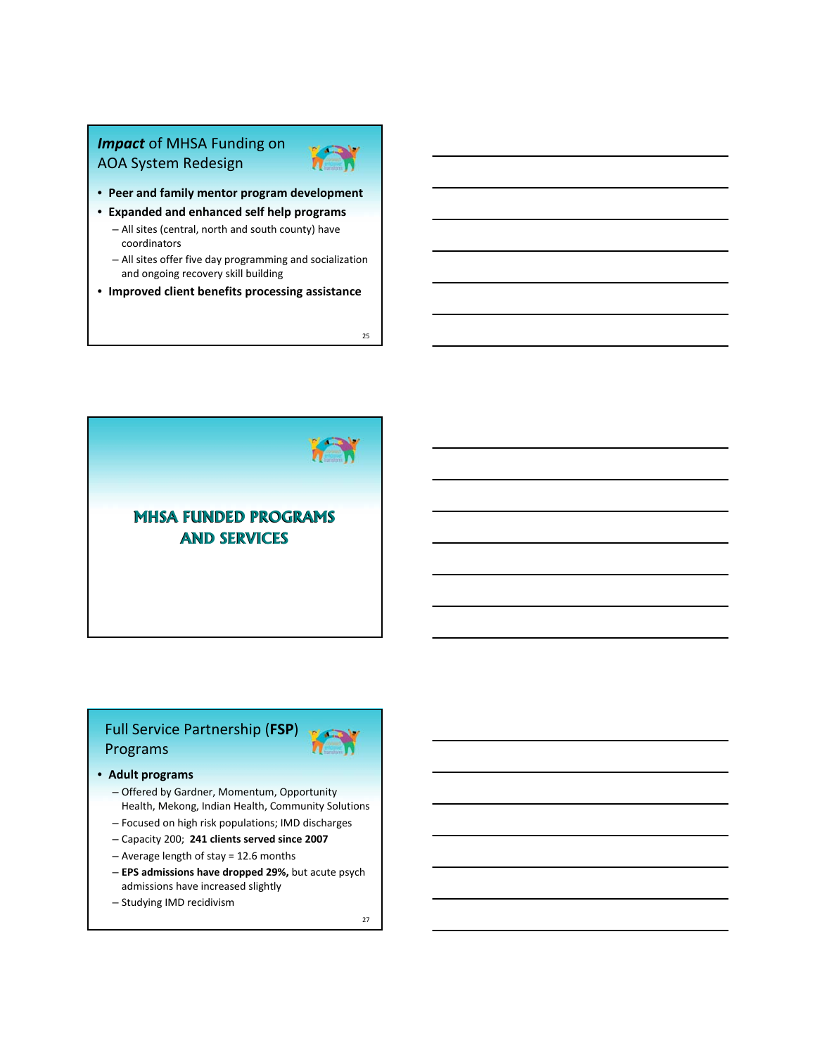## *Impact* of MHSA Funding on AOA System Redesign



- **Peer and family mentor program development**
- **Expanded and enhanced self help programs**
	- All sites (central, north and south county) have coordinators
	- All sites offer five day programming and socialization and ongoing recovery skill building
- **Improved client benefits processing assistance**

25



# Full Service Partnership (**FSP**) Programs

#### • **Adult programs**

- Offered by Gardner, Momentum, Opportunity Health, Mekong, Indian Health, Community Solutions
- Focused on high risk populations; IMD discharges
- Capacity 200; **241 clients served since 2007**
- Average length of stay = 12.6 months
- **EPS admissions have dropped 29%,** but acute psych admissions have increased slightly
- Studying IMD recidivism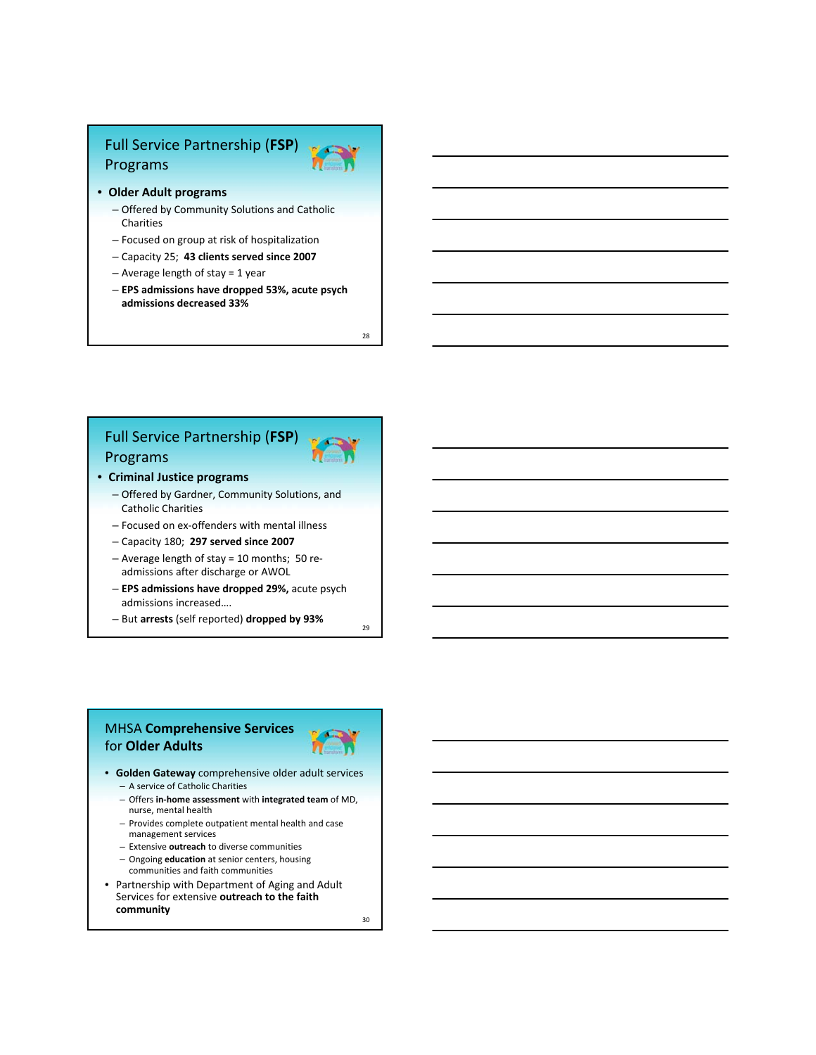# Full Service Partnership (**FSP**) Programs

- **Older Adult programs**
	- Offered by Community Solutions and Catholic Charities
	- Focused on group at risk of hospitalization
	- Capacity 25; **43 clients served since 2007**
	- Average length of stay = 1 year
	- **EPS admissions have dropped 53%, acute psych admissions decreased 33%**

28

# Full Service Partnership (**FSP**) Programs

- **Criminal Justice programs**
	- Offered by Gardner, Community Solutions, and Catholic Charities
	- Focused on ex‐offenders with mental illness
	- Capacity 180; **297 served since 2007**
	- Average length of stay = 10 months; 50 re‐ admissions after discharge or AWOL
	- **EPS admissions have dropped 29%,** acute psych admissions increased….
	- But **arrests** (self reported) **dropped by 93%**

#### MHSA **Comprehensive Services** for **Older Adults**



 $29$ 

- **Golden Gateway** comprehensive older adult services – A service of Catholic Charities
	- Offers **in‐home assessment** with **integrated team** of MD, nurse, mental health
	- Provides complete outpatient mental health and case management services
	- Extensive **outreach** to diverse communities
	- Ongoing **education** at senior centers, housing communities and faith communities
- Partnership with Department of Aging and Adult Services for extensive **outreach to the faith community**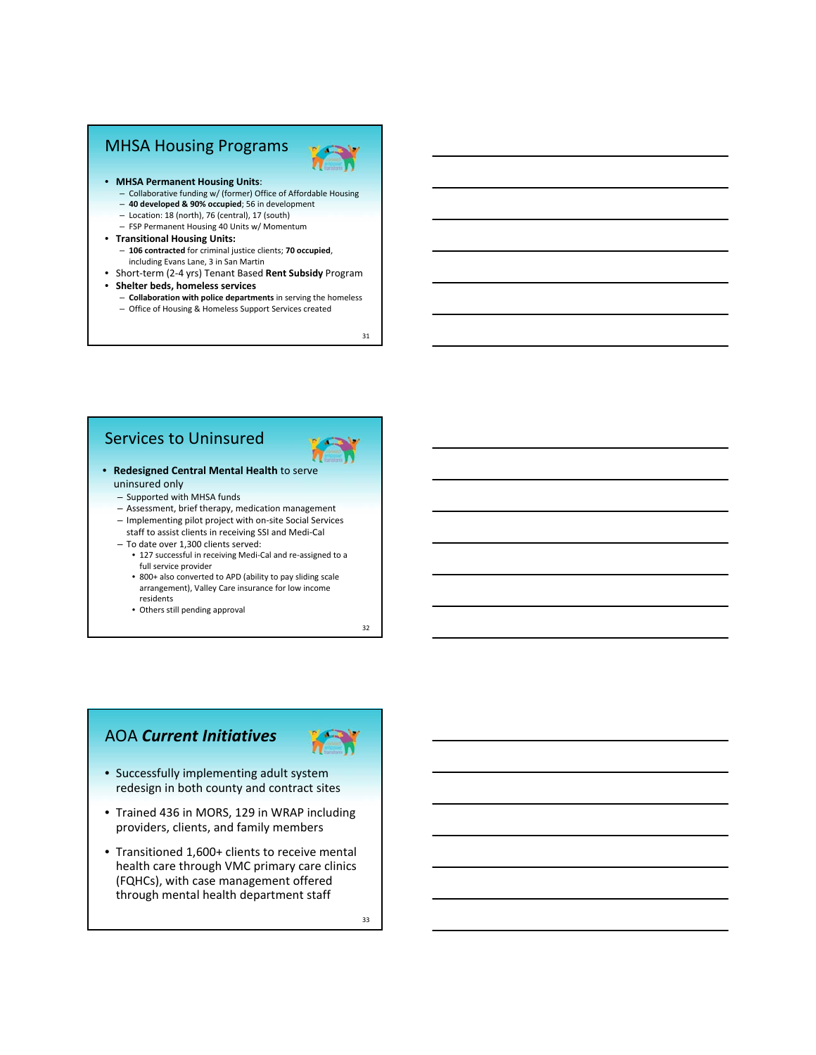### MHSA Housing Programs



- **MHSA Permanent Housing Units**:
	- Collaborative funding w/ (former) Office of Affordable Housing
	- **40 developed & 90% occupied**; 56 in development
	- Location: 18 (north), 76 (central), 17 (south)
	- FSP Permanent Housing 40 Units w/ Momentum
- **Transitional Housing Units:** – **106 contracted** for criminal justice clients; **70 occupied**,
	- including Evans Lane, 3 in San Martin
- Short‐term (2‐4 yrs) Tenant Based **Rent Subsidy** Program
- **Shelter beds, homeless services**
	- **Collaboration with police departments** in serving the homeless – Office of Housing & Homeless Support Services created

31

#### Services to Uninsured



- **Redesigned Central Mental Health** to serve uninsured only
	- Supported with MHSA funds
	- Assessment, brief therapy, medication management
	- Implementing pilot project with on‐site Social Services

staff to assist clients in receiving SSI and Medi‐Cal – To date over 1,300 clients served:

- 127 successful in receiving Medi‐Cal and re‐assigned to a full service provider
- 800+ also converted to APD (ability to pay sliding scale arrangement), Valley Care insurance for low income residents
- Others still pending approval

32

#### AOA *Current Initiatives*



- Successfully implementing adult system redesign in both county and contract sites
- Trained 436 in MORS, 129 in WRAP including providers, clients, and family members
- Transitioned 1,600+ clients to receive mental health care through VMC primary care clinics (FQHCs), with case management offered through mental health department staff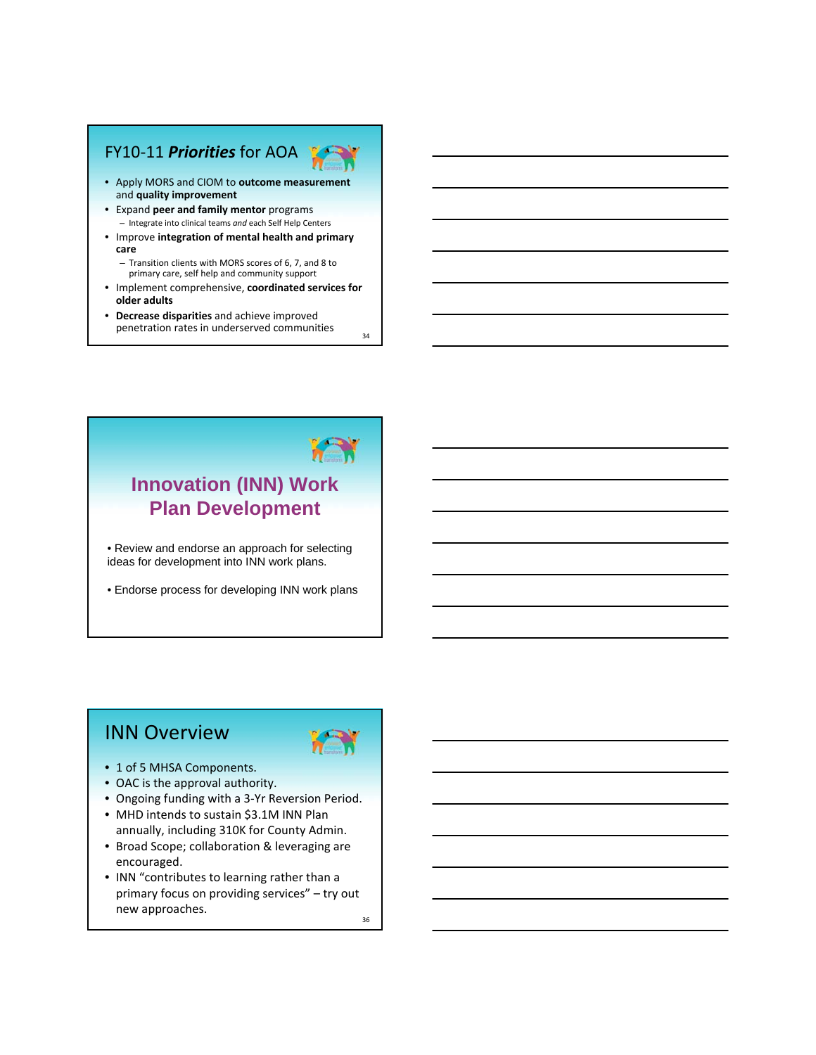### FY10‐11 *Priorities* for AOA



34

- Apply MORS and CIOM to **outcome measurement** and **quality improvement**
- Expand **peer and family mentor** programs – Integrate into clinical teams *and* each Self Help Centers
- Improve **integration of mental health and primary care**
	- Transition clients with MORS scores of 6, 7, and 8 to primary care, self help and community support
- Implement comprehensive, **coordinated services for older adults**
- **Decrease disparities** and achieve improved penetration rates in underserved communities



• Review and endorse an approach for selecting ideas for development into INN work plans.

• Endorse process for developing INN work plans

# INN Overview



- 1 of 5 MHSA Components.
- OAC is the approval authority.
- Ongoing funding with a 3‐Yr Reversion Period.
- MHD intends to sustain \$3.1M INN Plan annually, including 310K for County Admin.
- Broad Scope; collaboration & leveraging are encouraged.
- INN "contributes to learning rather than a primary focus on providing services" – try out new approaches.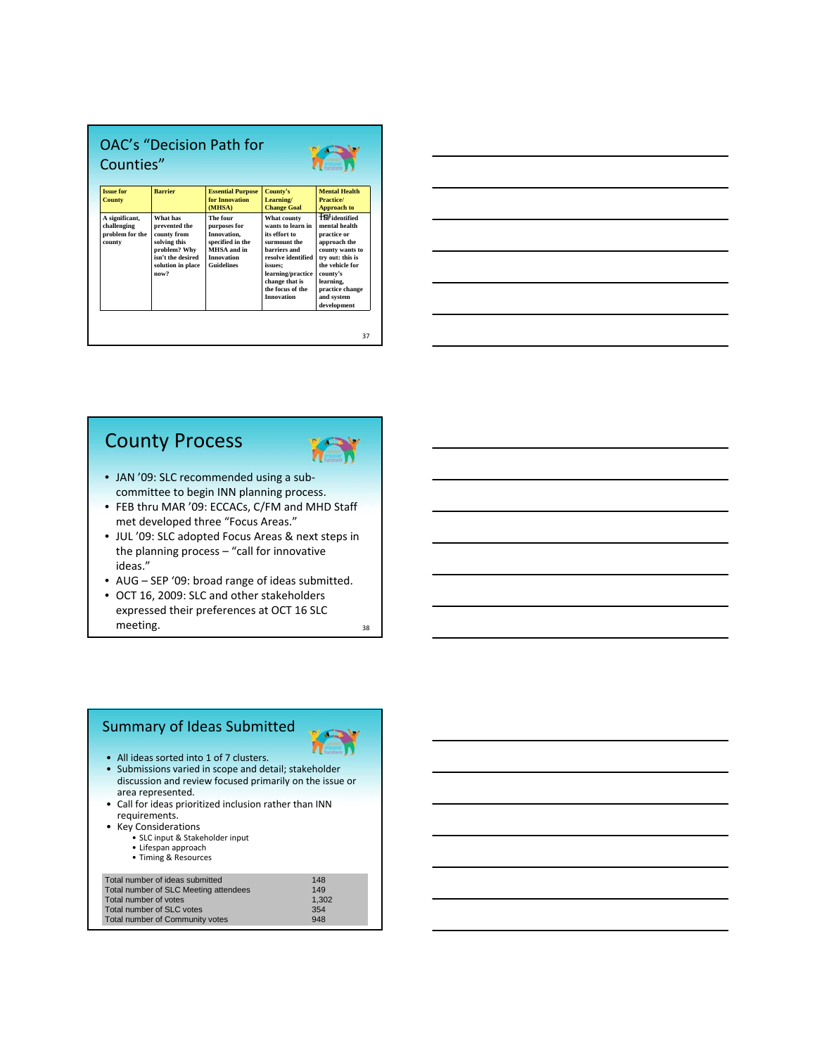| Counties"                                                  |                                                                                                                            |                                                                                                                      |                                                                                                                                                                                                    |                                                                                                                                                                                                           |
|------------------------------------------------------------|----------------------------------------------------------------------------------------------------------------------------|----------------------------------------------------------------------------------------------------------------------|----------------------------------------------------------------------------------------------------------------------------------------------------------------------------------------------------|-----------------------------------------------------------------------------------------------------------------------------------------------------------------------------------------------------------|
| <b>Issue for</b><br><b>County</b>                          | <b>Barrier</b>                                                                                                             | <b>Essential Purpose</b><br>for Innovation<br>(MHSA)                                                                 | County's<br>Learning/<br><b>Change Goal</b>                                                                                                                                                        | <b>Mental Health</b><br>Practice/<br><b>Approach to</b>                                                                                                                                                   |
| A significant,<br>challenging<br>problem for the<br>county | What has<br>prevented the<br>county from<br>solving this<br>problem? Why<br>isn't the desired<br>solution in place<br>now? | The four<br>purposes for<br>Innovation.<br>specified in the<br>MHSA and in<br><b>Innovation</b><br><b>Guidelines</b> | What county<br>wants to learn in<br>its effort to<br>surmount the<br>barriers and<br>resolve identified<br>issues;<br>learning/practice<br>change that is<br>the focus of the<br><b>Innovation</b> | <b>Ffit</b> identified<br>mental health<br>practice or<br>approach the<br>county wants to<br>try out: this is<br>the vehicle for<br>county's<br>learning.<br>practice change<br>and system<br>development |

|                                                                                                                       |  | <u> 1989 - Johann Barn, amerikansk politiker (d. 1989)</u>                                                             |
|-----------------------------------------------------------------------------------------------------------------------|--|------------------------------------------------------------------------------------------------------------------------|
|                                                                                                                       |  | <u> 1989 - Johann Barn, mars ann an t-Amhain ann an t-Amhain ann an t-Amhain ann an t-Amhain an t-Amhain ann an t-</u> |
|                                                                                                                       |  | <u> 1989 - Johann Stoff, amerikansk politiker (d. 1989)</u>                                                            |
|                                                                                                                       |  | <u> 1989 - Johann Barn, amerikan besteman besteman besteman besteman besteman besteman besteman besteman besteman</u>  |
| <u> 1989 - Johann Stoff, deutscher Stoff, der Stoff, der Stoff, der Stoff, der Stoff, der Stoff, der Stoff, der S</u> |  | _______                                                                                                                |
|                                                                                                                       |  |                                                                                                                        |

# County Process



- JAN '09: SLC recommended using a sub‐ committee to begin INN planning process.
- FEB thru MAR '09: ECCACs, C/FM and MHD Staff met developed three "Focus Areas."
- JUL '09: SLC adopted Focus Areas & next steps in the planning process – "call for innovative ideas."
- AUG SEP '09: broad range of ideas submitted.
- OCT 16, 2009: SLC and other stakeholders expressed their preferences at OCT 16 SLC meeting.

38

#### Summary of Ideas Submitted • All ideas sorted into 1 of 7 clusters. • Submissions varied in scope and detail; stakeholder discussion and review focused primarily on the issue or area represented. • Call for ideas prioritized inclusion rather than INN requirements. • Key Considerations • SLC input & Stakeholder input • Lifespan approach • Timing & Resources Total number of ideas submitted

| TULCI HUIHDUT UI IUUQU SUDHIILLUU     | .     |  |
|---------------------------------------|-------|--|
| Total number of SLC Meeting attendees | 149   |  |
| Total number of votes                 | 1.302 |  |
| Total number of SLC votes             | 354   |  |
| Total number of Community votes       | 948   |  |
|                                       |       |  |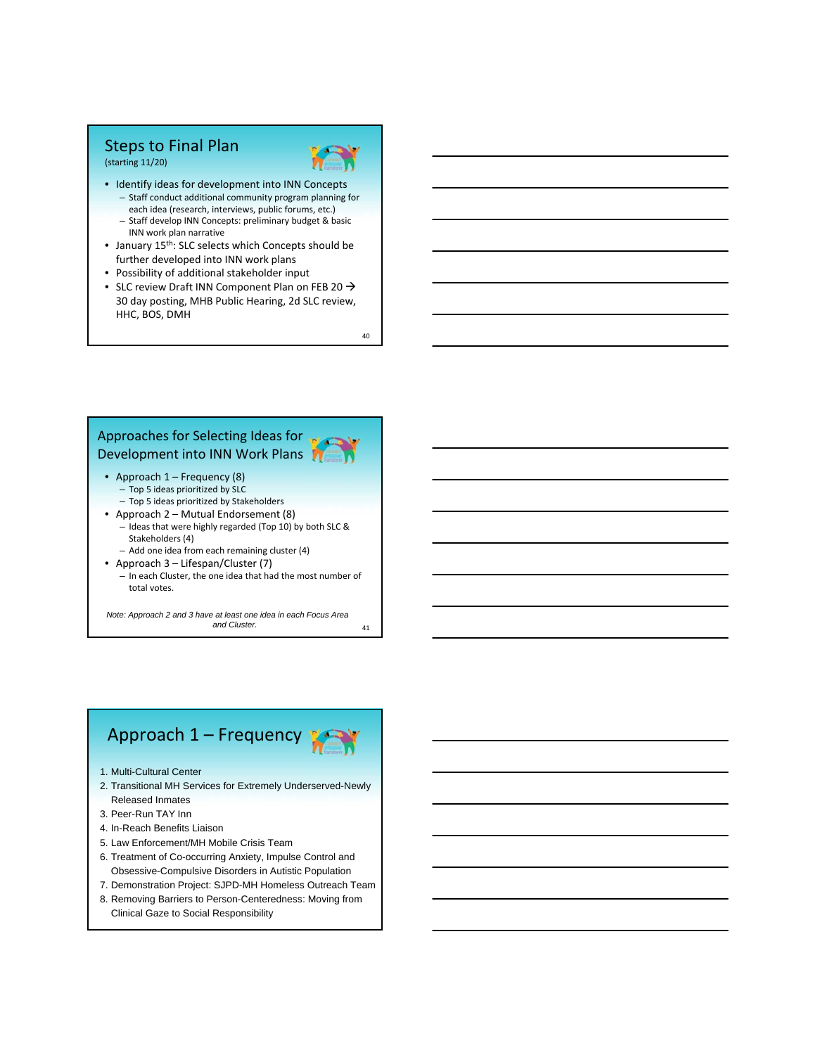#### Steps to Final Plan (starting 11/20)



• Identify ideas for development into INN Concepts – Staff conduct additional community program planning for each idea (research, interviews, public forums, etc.) – Staff develop INN Concepts: preliminary budget & basic INN work plan narrative

- January 15<sup>th</sup>: SLC selects which Concepts should be further developed into INN work plans
- Possibility of additional stakeholder input
- SLC review Draft INN Component Plan on FEB 20  $\rightarrow$ 30 day posting, MHB Public Hearing, 2d SLC review, HHC, BOS, DMH

40

# Approaches for Selecting Ideas for Development into INN Work Plans

- Approach 1 Frequency (8)
	- Top 5 ideas prioritized by SLC
- Top 5 ideas prioritized by Stakeholders • Approach 2 – Mutual Endorsement (8)
	- Ideas that were highly regarded (Top 10) by both SLC & Stakeholders (4)
	- Add one idea from each remaining cluster (4)
- Approach 3 Lifespan/Cluster (7)
	- In each Cluster, the one idea that had the most number of total votes.

41 *Note: Approach 2 and 3 have at least one idea in each Focus Area and Cluster.*

# Approach 1 – Frequency

- 1. Multi-Cultural Center
- 2. Transitional MH Services for Extremely Underserved-Newly Released Inmates
- 3. Peer-Run TAY Inn
- 4. In-Reach Benefits Liaison
- 5. Law Enforcement/MH Mobile Crisis Team
- 6. Treatment of Co-occurring Anxiety, Impulse Control and Obsessive-Compulsive Disorders in Autistic Population
- 7. Demonstration Project: SJPD-MH Homeless Outreach Team
- 8. Removing Barriers to Person-Centeredness: Moving from Clinical Gaze to Social Responsibility